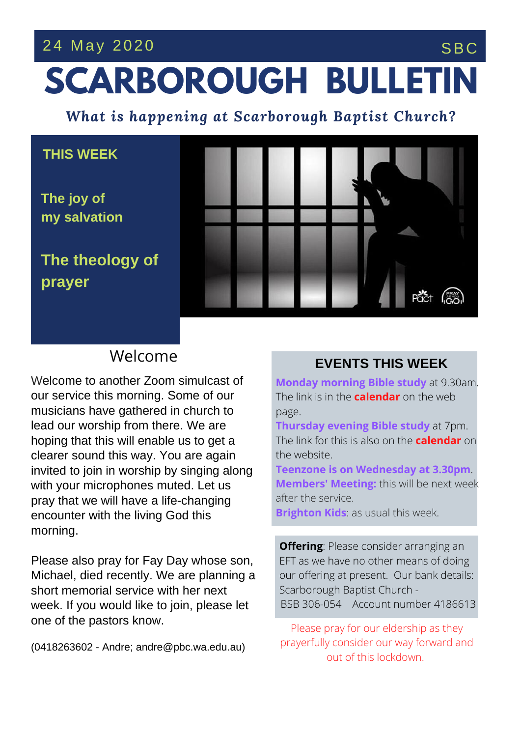## 24 May 2020 SBC

# **SCARBOROUGH BULLETIN**

*What is happening at Scarborough Baptist Church?*

#### **THIS WEEK**

**The joy of my salvation**

**The theology of prayer**



## Welcome

**THE SERVICE THIS** clearer sound this way. You are again mvited to join in worship by singing an<br>with your microphones muted. Let us Welcome to another Zoom simulcast of our service this morning. Some of our musicians have gathered in church to lead our worship from there. We are hoping that this will enable us to get a invited to join in worship by singing along pray that we will have a life-changing encounter with the living God this morning.

Please also pray for Fay Day whose son, Michael, died recently. We are planning a short memorial service with her next week. If you would like to join, please let one of the pastors know.

(0418263602 - Andre; andre@pbc.wa.edu.au)

### **EVENTS THIS WEEK**

**Monday morning Bible study** at 9.30am. The link is in the **calendar** on the web page.

**Thursday evening Bible study** at 7pm. The link for this is also on the **calendar** on the website.

**Teenzone is on Wednesday at 3.30pm**. **Members' Meeting:** this will be next week after the service.

**Brighton Kids**: as usual this week.

**Offering**: Please consider arranging an EFT as we have no other means of doing our offering at present. Our bank details: Scarborough Baptist Church - BSB 306-054 Account number 4186613

Please pray for our eldership as they prayerfully consider our way forward and out of this lockdown.